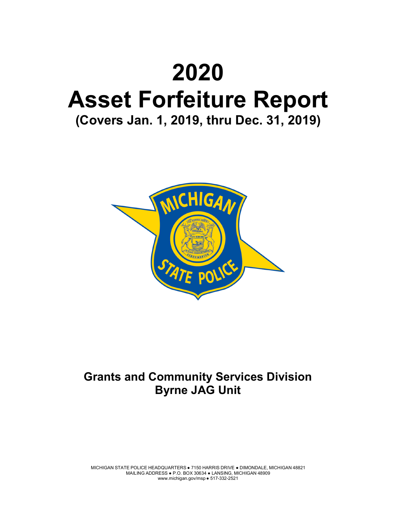# **2020 Asset Forfeiture Report (Covers Jan. 1, 2019, thru Dec. 31, 2019)**



# **Grants and Community Services Division Byrne JAG Unit**

MICHIGAN STATE POLICE HEADQUARTERS ● 7150 HARRIS DRIVE ● DIMONDALE, MICHIGAN 48821 MAILING ADDRESS ● P.O. BOX 30634 ● LANSING, MICHIGAN 48909 www.michigan.gov/msp ● 517-332-2521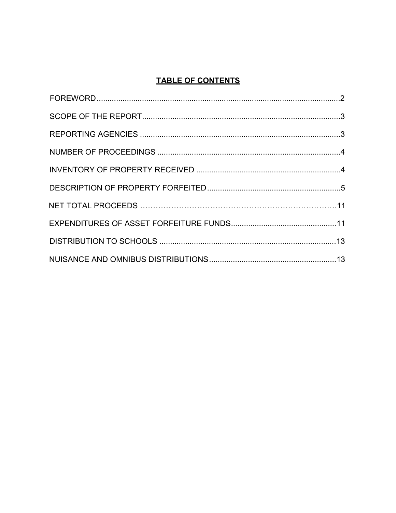### **TABLE OF CONTENTS**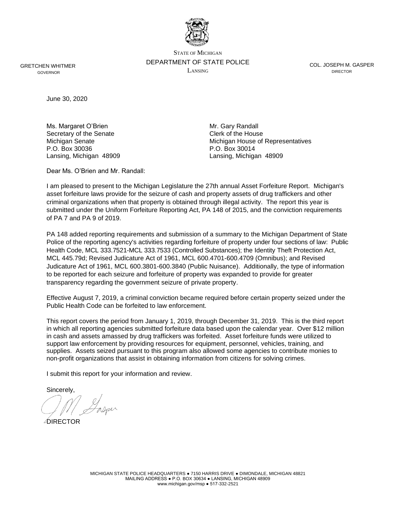

STATE OF MICHIGAN DEPARTMENT OF STATE POLICE LANSING

COL. JOSEPH M. GASPER **DIRECTOR** 

GRETCHEN WHITMER GOVERNOR

June 30, 2020

Ms. Margaret O'Brien Mr. Gary Randall Secretary of the Senate Clerk of the House P.O. Box 30036 P.O. Box 30014 Lansing, Michigan 48909 Lansing, Michigan 48909

Michigan Senate Michigan House of Representatives

Dear Ms. O'Brien and Mr. Randall:

I am pleased to present to the Michigan Legislature the 27th annual Asset Forfeiture Report. Michigan's asset forfeiture laws provide for the seizure of cash and property assets of drug traffickers and other criminal organizations when that property is obtained through illegal activity. The report this year is submitted under the Uniform Forfeiture Reporting Act, PA 148 of 2015, and the conviction requirements of PA 7 and PA 9 of 2019.

PA 148 added reporting requirements and submission of a summary to the Michigan Department of State Police of the reporting agency's activities regarding forfeiture of property under four sections of law: Public Health Code, MCL 333.7521-MCL 333.7533 (Controlled Substances); the Identity Theft Protection Act, MCL 445.79d; Revised Judicature Act of 1961, MCL 600.4701-600.4709 (Omnibus); and Revised Judicature Act of 1961, MCL 600.3801-600.3840 (Public Nuisance). Additionally, the type of information to be reported for each seizure and forfeiture of property was expanded to provide for greater transparency regarding the government seizure of private property.

Effective August 7, 2019, a criminal conviction became required before certain property seized under the Public Health Code can be forfeited to law enforcement.

This report covers the period from January 1, 2019, through December 31, 2019. This is the third report in which all reporting agencies submitted forfeiture data based upon the calendar year. Over \$12 million in cash and assets amassed by drug traffickers was forfeited. Asset forfeiture funds were utilized to support law enforcement by providing resources for equipment, personnel, vehicles, training, and supplies. Assets seized pursuant to this program also allowed some agencies to contribute monies to non-profit organizations that assist in obtaining information from citizens for solving crimes.

I submit this report for your information and review.

Sincerely,

**AIRECTOR**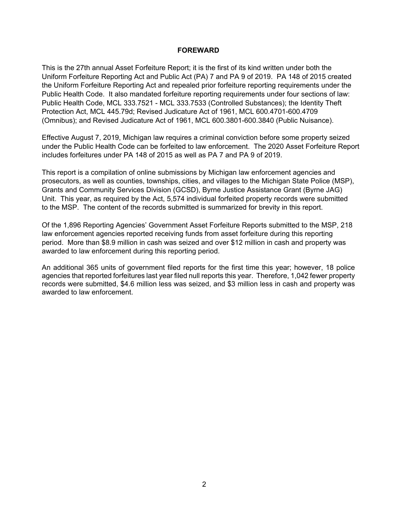#### **FOREWARD**

This is the 27th annual Asset Forfeiture Report; it is the first of its kind written under both the Uniform Forfeiture Reporting Act and Public Act (PA) 7 and PA 9 of 2019. PA 148 of 2015 created the Uniform Forfeiture Reporting Act and repealed prior forfeiture reporting requirements under the Public Health Code. It also mandated forfeiture reporting requirements under four sections of law: Public Health Code, MCL 333.7521 - MCL 333.7533 (Controlled Substances); the Identity Theft Protection Act, MCL 445.79d; Revised Judicature Act of 1961, MCL 600.4701-600.4709 (Omnibus); and Revised Judicature Act of 1961, MCL 600.3801-600.3840 (Public Nuisance).

Effective August 7, 2019, Michigan law requires a criminal conviction before some property seized under the Public Health Code can be forfeited to law enforcement. The 2020 Asset Forfeiture Report includes forfeitures under PA 148 of 2015 as well as PA 7 and PA 9 of 2019.

This report is a compilation of online submissions by Michigan law enforcement agencies and prosecutors, as well as counties, townships, cities, and villages to the Michigan State Police (MSP), Grants and Community Services Division (GCSD), Byrne Justice Assistance Grant (Byrne JAG) Unit. This year, as required by the Act, 5,574 individual forfeited property records were submitted to the MSP. The content of the records submitted is summarized for brevity in this report.

Of the 1,896 Reporting Agencies' Government Asset Forfeiture Reports submitted to the MSP, 218 law enforcement agencies reported receiving funds from asset forfeiture during this reporting period. More than \$8.9 million in cash was seized and over \$12 million in cash and property was awarded to law enforcement during this reporting period.

An additional 365 units of government filed reports for the first time this year; however, 18 police agencies that reported forfeitures last year filed null reports this year. Therefore, 1,042 fewer property records were submitted, \$4.6 million less was seized, and \$3 million less in cash and property was awarded to law enforcement.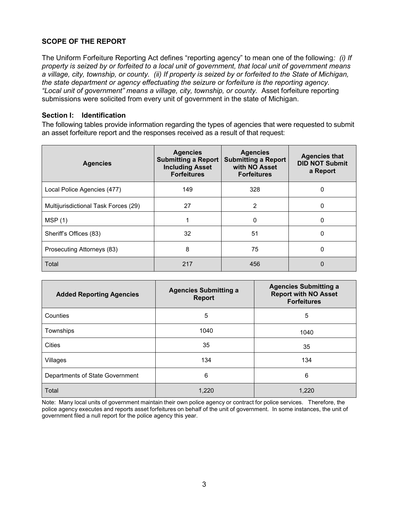#### **SCOPE OF THE REPORT**

The Uniform Forfeiture Reporting Act defines "reporting agency" to mean one of the following*: (i) If property is seized by or forfeited to a local unit of government, that local unit of government means a village, city, township, or county. (ii) If property is seized by or forfeited to the State of Michigan, the state department or agency effectuating the seizure or forfeiture is the reporting agency. "Local unit of government" means a village, city, township, or county.* Asset forfeiture reporting submissions were solicited from every unit of government in the state of Michigan.

#### **Section I: Identification**

The following tables provide information regarding the types of agencies that were requested to submit an asset forfeiture report and the responses received as a result of that request:

| <b>Agencies</b>                      | <b>Agencies</b><br><b>Submitting a Report</b><br><b>Including Asset</b><br><b>Forfeitures</b> | <b>Agencies</b><br><b>Submitting a Report</b><br>with NO Asset<br><b>Forfeitures</b> | <b>Agencies that</b><br><b>DID NOT Submit</b><br>a Report |
|--------------------------------------|-----------------------------------------------------------------------------------------------|--------------------------------------------------------------------------------------|-----------------------------------------------------------|
| Local Police Agencies (477)          | 149                                                                                           | 328                                                                                  | 0                                                         |
| Multijurisdictional Task Forces (29) | 27                                                                                            | 2                                                                                    | 0                                                         |
| MSP(1)                               |                                                                                               | $\Omega$                                                                             | $\Omega$                                                  |
| Sheriff's Offices (83)               | 32                                                                                            | 51                                                                                   | $\Omega$                                                  |
| Prosecuting Attorneys (83)           | 8                                                                                             | 75                                                                                   | 0                                                         |
| Total                                | 217                                                                                           | 456                                                                                  | 0                                                         |

| <b>Added Reporting Agencies</b> | <b>Agencies Submitting a</b><br><b>Report</b> | <b>Agencies Submitting a</b><br><b>Report with NO Asset</b><br><b>Forfeitures</b> |
|---------------------------------|-----------------------------------------------|-----------------------------------------------------------------------------------|
| Counties                        | 5                                             | 5                                                                                 |
| Townships                       | 1040                                          | 1040                                                                              |
| Cities                          | 35                                            | 35                                                                                |
| Villages                        | 134                                           | 134                                                                               |
| Departments of State Government | 6                                             | 6                                                                                 |
| Total                           | 1,220                                         | 1,220                                                                             |

Note: Many local units of government maintain their own police agency or contract for police services. Therefore, the police agency executes and reports asset forfeitures on behalf of the unit of government. In some instances, the unit of government filed a null report for the police agency this year.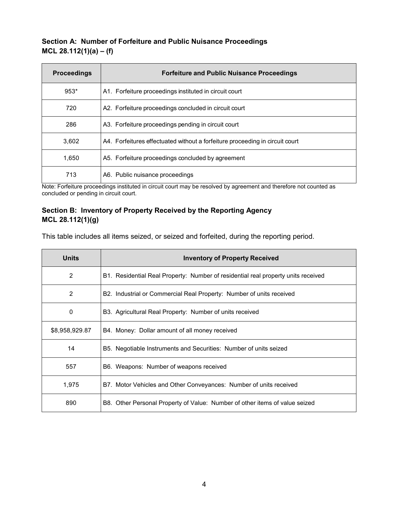#### **Section A: Number of Forfeiture and Public Nuisance Proceedings MCL 28.112(1)(a) – (f)**

| <b>Proceedings</b> | <b>Forfeiture and Public Nuisance Proceedings</b>                            |
|--------------------|------------------------------------------------------------------------------|
| $953*$             | A1. Forfeiture proceedings instituted in circuit court                       |
| 720                | A2. Forfeiture proceedings concluded in circuit court                        |
| 286                | A3. Forfeiture proceedings pending in circuit court                          |
| 3,602              | A4. Forfeitures effectuated without a forfeiture proceeding in circuit court |
| 1,650              | A5. Forfeiture proceedings concluded by agreement                            |
| 713                | A6. Public nuisance proceedings                                              |

Note: Forfeiture proceedings instituted in circuit court may be resolved by agreement and therefore not counted as concluded or pending in circuit court.

#### **Section B: Inventory of Property Received by the Reporting Agency MCL 28.112(1)(g)**

This table includes all items seized, or seized and forfeited, during the reporting period.

| <b>Units</b>   | <b>Inventory of Property Received</b>                                             |
|----------------|-----------------------------------------------------------------------------------|
| 2              | B1. Residential Real Property: Number of residential real property units received |
| 2              | B2. Industrial or Commercial Real Property: Number of units received              |
| $\Omega$       | B3. Agricultural Real Property: Number of units received                          |
| \$8,958,929.87 | B4. Money: Dollar amount of all money received                                    |
| 14             | B5. Negotiable Instruments and Securities: Number of units seized                 |
| 557            | B6. Weapons: Number of weapons received                                           |
| 1,975          | B7. Motor Vehicles and Other Conveyances: Number of units received                |
| 890            | B8. Other Personal Property of Value: Number of other items of value seized       |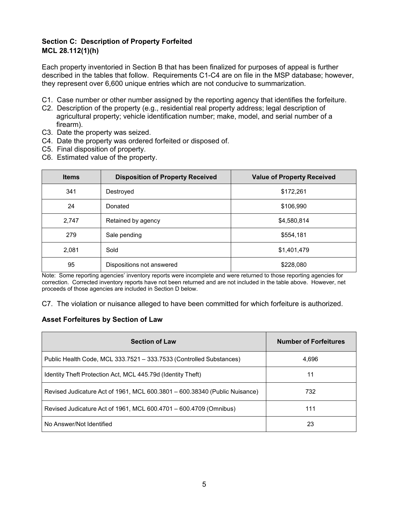#### **Section C: Description of Property Forfeited MCL 28.112(1)(h)**

Each property inventoried in Section B that has been finalized for purposes of appeal is further described in the tables that follow. Requirements C1-C4 are on file in the MSP database; however, they represent over 6,600 unique entries which are not conducive to summarization.

- C1. Case number or other number assigned by the reporting agency that identifies the forfeiture.
- C2. Description of the property (e.g., residential real property address; legal description of agricultural property; vehicle identification number; make, model, and serial number of a firearm).
- C3. Date the property was seized.
- C4. Date the property was ordered forfeited or disposed of.
- C5. Final disposition of property.
- C6. Estimated value of the property.

| <b>Items</b> | <b>Disposition of Property Received</b> | <b>Value of Property Received</b> |
|--------------|-----------------------------------------|-----------------------------------|
| 341          | Destroyed                               | \$172,261                         |
| 24           | Donated                                 | \$106,990                         |
| 2,747        | Retained by agency                      | \$4,580,814                       |
| 279          | Sale pending                            | \$554,181                         |
| 2,081        | Sold                                    | \$1,401,479                       |
| 95           | Dispositions not answered               | \$228,080                         |

Note: Some reporting agencies' inventory reports were incomplete and were returned to those reporting agencies for correction. Corrected inventory reports have not been returned and are not included in the table above. However, net proceeds of those agencies are included in Section D below.

C7. The violation or nuisance alleged to have been committed for which forfeiture is authorized.

#### **Asset Forfeitures by Section of Law**

| <b>Section of Law</b>                                                      | <b>Number of Forfeitures</b> |
|----------------------------------------------------------------------------|------------------------------|
| Public Health Code, MCL 333.7521 - 333.7533 (Controlled Substances)        | 4,696                        |
| Identity Theft Protection Act, MCL 445.79d (Identity Theft)                | 11                           |
| Revised Judicature Act of 1961, MCL 600.3801 - 600.38340 (Public Nuisance) | 732                          |
| Revised Judicature Act of 1961, MCL 600.4701 - 600.4709 (Omnibus)          | 111                          |
| No Answer/Not Identified                                                   | 23                           |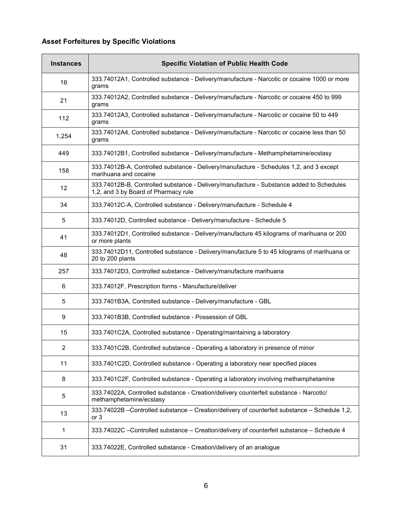## **Asset Forfeitures by Specific Violations**

| <b>Instances</b> | <b>Specific Violation of Public Health Code</b>                                                                                  |
|------------------|----------------------------------------------------------------------------------------------------------------------------------|
| 16               | 333.74012A1, Controlled substance - Delivery/manufacture - Narcotic or cocaine 1000 or more<br>grams                             |
| 21               | 333.74012A2, Controlled substance - Delivery/manufacture - Narcotic or cocaine 450 to 999<br>grams                               |
| 112              | 333.74012A3, Controlled substance - Delivery/manufacture - Narcotic or cocaine 50 to 449<br>grams                                |
| 1,254            | 333.74012A4, Controlled substance - Delivery/manufacture - Narcotic or cocaine less than 50<br>grams                             |
| 449              | 333.74012B1, Controlled substance - Delivery/manufacture - Methamphetamine/ecstasy                                               |
| 158              | 333.74012B-A, Controlled substance - Delivery/manufacture - Schedules 1,2, and 3 except<br>marihuana and cocaine                 |
| 12               | 333.74012B-B, Controlled substance - Delivery/manufacture - Substance added to Schedules<br>1,2, and 3 by Board of Pharmacy rule |
| 34               | 333.74012C-A, Controlled substance - Delivery/manufacture - Schedule 4                                                           |
| 5                | 333.74012D, Controlled substance - Delivery/manufacture - Schedule 5                                                             |
| 41               | 333.74012D1, Controlled substance - Delivery/manufacture 45 kilograms of marihuana or 200<br>or more plants                      |
| 48               | 333.74012D11, Controlled substance - Delivery/manufacture 5 to 45 kilograms of marihuana or<br>20 to 200 plants                  |
| 257              | 333.74012D3, Controlled substance - Delivery/manufacture marihuana                                                               |
| 6                | 333.74012F, Prescription forms - Manufacture/deliver                                                                             |
| 5                | 333.7401B3A, Controlled substance - Delivery/manufacture - GBL                                                                   |
| 9                | 333.7401B3B, Controlled substance - Possession of GBL                                                                            |
| 15               | 333.7401C2A, Controlled substance - Operating/maintaining a laboratory                                                           |
| $\overline{c}$   | 333.7401C2B, Controlled substance - Operating a laboratory in presence of minor                                                  |
| 11               | 333.7401C2D, Controlled substance - Operating a laboratory near specified places                                                 |
| 8                | 333.7401C2F, Controlled substance - Operating a laboratory involving methamphetamine                                             |
| 5                | 333.74022A, Controlled substance - Creation/delivery counterfeit substance - Narcotic/<br>methamphetamine/ecstasy                |
| 13               | 333.74022B - Controlled substance - Creation/delivery of counterfeit substance - Schedule 1,2,<br>or <sub>3</sub>                |
| 1                | 333.74022C -Controlled substance - Creation/delivery of counterfeit substance - Schedule 4                                       |
| 31               | 333.74022E, Controlled substance - Creation/delivery of an analogue                                                              |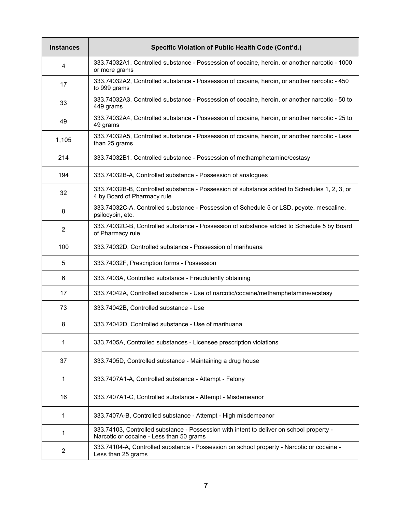| <b>Instances</b> | Specific Violation of Public Health Code (Cont'd.)                                                                                   |
|------------------|--------------------------------------------------------------------------------------------------------------------------------------|
| 4                | 333.74032A1, Controlled substance - Possession of cocaine, heroin, or another narcotic - 1000<br>or more grams                       |
| 17               | 333.74032A2, Controlled substance - Possession of cocaine, heroin, or another narcotic - 450<br>to 999 grams                         |
| 33               | 333.74032A3, Controlled substance - Possession of cocaine, heroin, or another narcotic - 50 to<br>449 grams                          |
| 49               | 333.74032A4, Controlled substance - Possession of cocaine, heroin, or another narcotic - 25 to<br>49 grams                           |
| 1,105            | 333.74032A5, Controlled substance - Possession of cocaine, heroin, or another narcotic - Less<br>than 25 grams                       |
| 214              | 333.74032B1, Controlled substance - Possession of methamphetamine/ecstasy                                                            |
| 194              | 333.74032B-A, Controlled substance - Possession of analogues                                                                         |
| 32               | 333.74032B-B, Controlled substance - Possession of substance added to Schedules 1, 2, 3, or<br>4 by Board of Pharmacy rule           |
| 8                | 333.74032C-A, Controlled substance - Possession of Schedule 5 or LSD, peyote, mescaline,<br>psilocybin, etc.                         |
| $\overline{2}$   | 333.74032C-B, Controlled substance - Possession of substance added to Schedule 5 by Board<br>of Pharmacy rule                        |
| 100              | 333.74032D, Controlled substance - Possession of marihuana                                                                           |
| 5                | 333.74032F, Prescription forms - Possession                                                                                          |
| 6                | 333.7403A, Controlled substance - Fraudulently obtaining                                                                             |
| 17               | 333.74042A, Controlled substance - Use of narcotic/cocaine/methamphetamine/ecstasy                                                   |
| 73               | 333.74042B, Controlled substance - Use                                                                                               |
| 8                | 333.74042D, Controlled substance - Use of marihuana                                                                                  |
| 1                | 333.7405A, Controlled substances - Licensee prescription violations                                                                  |
| 37               | 333.7405D, Controlled substance - Maintaining a drug house                                                                           |
| 1                | 333.7407A1-A, Controlled substance - Attempt - Felony                                                                                |
| 16               | 333.7407A1-C, Controlled substance - Attempt - Misdemeanor                                                                           |
| 1                | 333.7407A-B, Controlled substance - Attempt - High misdemeanor                                                                       |
| 1                | 333.74103, Controlled substance - Possession with intent to deliver on school property -<br>Narcotic or cocaine - Less than 50 grams |
| $\overline{c}$   | 333.74104-A, Controlled substance - Possession on school property - Narcotic or cocaine -<br>Less than 25 grams                      |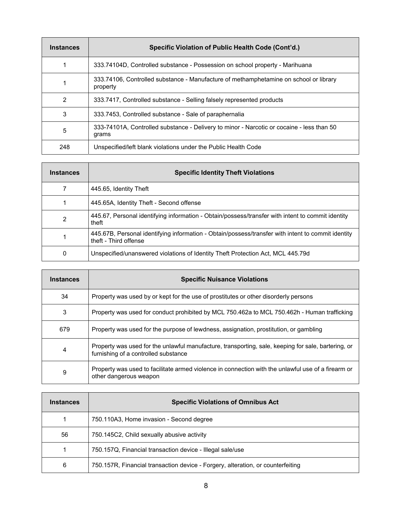| <b>Instances</b> | Specific Violation of Public Health Code (Cont'd.)                                                 |
|------------------|----------------------------------------------------------------------------------------------------|
|                  | 333.74104D, Controlled substance - Possession on school property - Marihuana                       |
|                  | 333.74106, Controlled substance - Manufacture of methamphetamine on school or library<br>property  |
| $\mathfrak{p}$   | 333.7417, Controlled substance - Selling falsely represented products                              |
| 3                | 333.7453, Controlled substance - Sale of paraphernalia                                             |
| 5                | 333-74101A, Controlled substance - Delivery to minor - Narcotic or cocaine - less than 50<br>grams |
| 248              | Unspecified/left blank violations under the Public Health Code                                     |

| <b>Instances</b> | <b>Specific Identity Theft Violations</b>                                                                                   |
|------------------|-----------------------------------------------------------------------------------------------------------------------------|
|                  | 445.65, Identity Theft                                                                                                      |
|                  | 445.65A, Identity Theft - Second offense                                                                                    |
| $\mathfrak{p}$   | 445.67, Personal identifying information - Obtain/possess/transfer with intent to commit identity<br>theft                  |
|                  | 445.67B, Personal identifying information - Obtain/possess/transfer with intent to commit identity<br>theft - Third offense |
| 0                | Unspecified/unanswered violations of Identity Theft Protection Act, MCL 445.79d                                             |

| <b>Instances</b> | <b>Specific Nuisance Violations</b>                                                                                                         |
|------------------|---------------------------------------------------------------------------------------------------------------------------------------------|
| 34               | Property was used by or kept for the use of prostitutes or other disorderly persons                                                         |
| 3                | Property was used for conduct prohibited by MCL 750.462a to MCL 750.462h - Human trafficking                                                |
| 679              | Property was used for the purpose of lewdness, assignation, prostitution, or gambling                                                       |
| 4                | Property was used for the unlawful manufacture, transporting, sale, keeping for sale, bartering, or<br>furnishing of a controlled substance |
| 9                | Property was used to facilitate armed violence in connection with the unlawful use of a firearm or<br>other dangerous weapon                |

| <b>Instances</b> | <b>Specific Violations of Omnibus Act</b>                                       |  |
|------------------|---------------------------------------------------------------------------------|--|
|                  | 750.110A3, Home invasion - Second degree                                        |  |
| 56               | 750.145C2, Child sexually abusive activity                                      |  |
|                  | 750.157Q, Financial transaction device - Illegal sale/use                       |  |
| 6                | 750.157R, Financial transaction device - Forgery, alteration, or counterfeiting |  |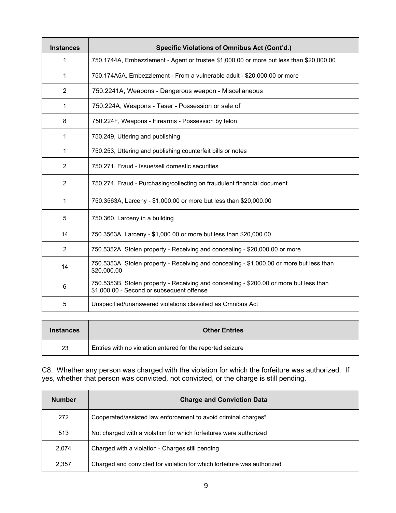| <b>Instances</b> | <b>Specific Violations of Omnibus Act (Cont'd.)</b>                                                                                 |  |
|------------------|-------------------------------------------------------------------------------------------------------------------------------------|--|
| 1                | 750.1744A, Embezzlement - Agent or trustee \$1,000.00 or more but less than \$20,000.00                                             |  |
| 1                | 750.174A5A, Embezzlement - From a vulnerable adult - \$20,000.00 or more                                                            |  |
| $\overline{2}$   | 750.2241A, Weapons - Dangerous weapon - Miscellaneous                                                                               |  |
| 1                | 750.224A, Weapons - Taser - Possession or sale of                                                                                   |  |
| 8                | 750.224F, Weapons - Firearms - Possession by felon                                                                                  |  |
| 1                | 750.249, Uttering and publishing                                                                                                    |  |
| 1                | 750.253, Uttering and publishing counterfeit bills or notes                                                                         |  |
| $\overline{2}$   | 750.271, Fraud - Issue/sell domestic securities                                                                                     |  |
| $\overline{2}$   | 750.274, Fraud - Purchasing/collecting on fraudulent financial document                                                             |  |
| 1                | 750.3563A, Larceny - \$1,000.00 or more but less than \$20,000.00                                                                   |  |
| 5                | 750.360, Larceny in a building                                                                                                      |  |
| 14               | 750.3563A, Larceny - \$1,000.00 or more but less than \$20,000.00                                                                   |  |
| 2                | 750.5352A, Stolen property - Receiving and concealing - \$20,000.00 or more                                                         |  |
| 14               | 750.5353A, Stolen property - Receiving and concealing - \$1,000.00 or more but less than<br>\$20,000.00                             |  |
| 6                | 750.5353B, Stolen property - Receiving and concealing - \$200.00 or more but less than<br>\$1,000.00 - Second or subsequent offense |  |
| 5                | Unspecified/unanswered violations classified as Omnibus Act                                                                         |  |

| <b>Instances</b> | <b>Other Entries</b>                                       |  |
|------------------|------------------------------------------------------------|--|
| 23               | Entries with no violation entered for the reported seizure |  |

C8. Whether any person was charged with the violation for which the forfeiture was authorized. If yes, whether that person was convicted, not convicted, or the charge is still pending.

| <b>Number</b> | <b>Charge and Conviction Data</b>                                       |
|---------------|-------------------------------------------------------------------------|
| 272           | Cooperated/assisted law enforcement to avoid criminal charges*          |
| 513           | Not charged with a violation for which forfeitures were authorized      |
| 2,074         | Charged with a violation - Charges still pending                        |
| 2,357         | Charged and convicted for violation for which forfeiture was authorized |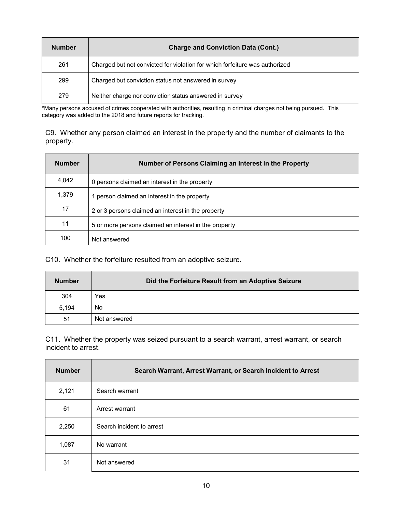| <b>Number</b> | <b>Charge and Conviction Data (Cont.)</b>                                   |  |
|---------------|-----------------------------------------------------------------------------|--|
| 261           | Charged but not convicted for violation for which forfeiture was authorized |  |
| 299           | Charged but conviction status not answered in survey                        |  |
| 279           | Neither charge nor conviction status answered in survey                     |  |

\*Many persons accused of crimes cooperated with authorities, resulting in criminal charges not being pursued. This category was added to the 2018 and future reports for tracking.

C9. Whether any person claimed an interest in the property and the number of claimants to the property.

| <b>Number</b> | Number of Persons Claiming an Interest in the Property |  |
|---------------|--------------------------------------------------------|--|
| 4,042         | 0 persons claimed an interest in the property          |  |
| 1,379         | 1 person claimed an interest in the property           |  |
| 17            | 2 or 3 persons claimed an interest in the property     |  |
| 11            | 5 or more persons claimed an interest in the property  |  |
| 100           | Not answered                                           |  |

C10. Whether the forfeiture resulted from an adoptive seizure.

| <b>Number</b> | Did the Forfeiture Result from an Adoptive Seizure |
|---------------|----------------------------------------------------|
| 304           | Yes                                                |
| 5,194         | No                                                 |
| 51            | Not answered                                       |

C11. Whether the property was seized pursuant to a search warrant, arrest warrant, or search incident to arrest.

| <b>Number</b> | Search Warrant, Arrest Warrant, or Search Incident to Arrest |  |
|---------------|--------------------------------------------------------------|--|
| 2,121         | Search warrant                                               |  |
| 61            | Arrest warrant                                               |  |
| 2,250         | Search incident to arrest                                    |  |
| 1,087         | No warrant                                                   |  |
| 31            | Not answered                                                 |  |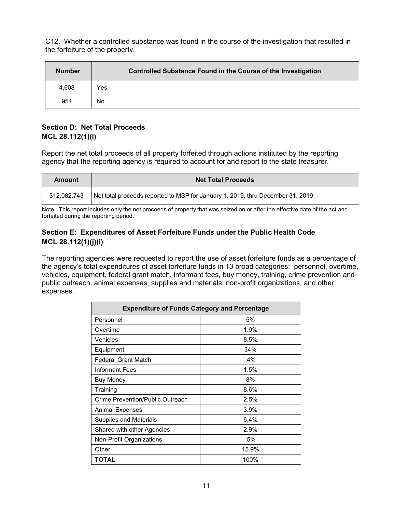C12. Whether a controlled substance was found in the course of the investigation that resulted in the forfeiture of the property.

| <b>Number</b> | Controlled Substance Found in the Course of the Investigation |  |
|---------------|---------------------------------------------------------------|--|
| 4,608         | Yes                                                           |  |
| 954           | No                                                            |  |

#### **Section D: Net Total Proceeds MCL 28.112(1)(i)**

Report the net total proceeds of all property forfeited through actions instituted by the reporting agency that the reporting agency is required to account for and report to the state treasurer.

| <b>Amount</b> | <b>Net Total Proceeds</b>                                                      |  |
|---------------|--------------------------------------------------------------------------------|--|
| \$12,082,743  | Net total proceeds reported to MSP for January 1, 2019, thru December 31, 2019 |  |

Note: This report includes only the net proceeds of property that was seized on or after the effective date of the act and forfeited during the reporting period.

#### **Section E: Expenditures of Asset Forfeiture Funds under the Public Health Code MCL 28.112(1)(j)(i)**

The reporting agencies were requested to report the use of asset forfeiture funds as a percentage of the agency's total expenditures of asset forfeiture funds in 13 broad categories: personnel, overtime, vehicles, equipment, federal grant match, informant fees, buy money, training, crime prevention and public outreach, animal expenses, supplies and materials, non-profit organizations, and other expenses.

| <b>Expenditure of Funds Category and Percentage</b> |        |  |
|-----------------------------------------------------|--------|--|
| Personnel                                           | 5%     |  |
| Overtime                                            | 1.9%   |  |
| Vehicles                                            | 8.5%   |  |
| Equipment                                           | 34%    |  |
| <b>Federal Grant Match</b>                          | $.4\%$ |  |
| <b>Informant Fees</b>                               | 1.5%   |  |
| Buy Money                                           | 8%     |  |
| Training                                            | 8.6%   |  |
| Crime Prevention/Public Outreach                    | 2.5%   |  |
| Animal Expenses                                     | 3.9%   |  |
| Supplies and Materials                              | 6.4%   |  |
| Shared with other Agencies                          | 2.9%   |  |
| Non-Profit Organizations                            | .5%    |  |
| Other                                               | 15.9%  |  |
| TOTAL                                               | 100%   |  |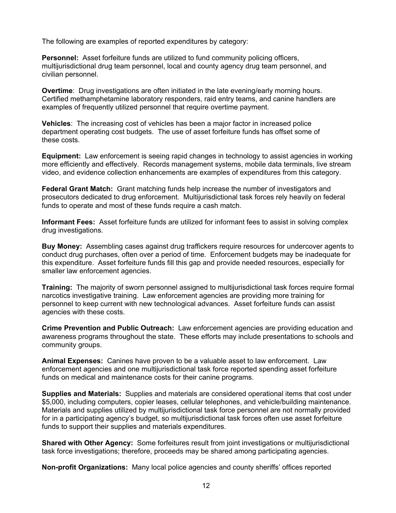The following are examples of reported expenditures by category:

**Personnel:** Asset forfeiture funds are utilized to fund community policing officers, multijurisdictional drug team personnel, local and county agency drug team personnel, and civilian personnel.

**Overtime**: Drug investigations are often initiated in the late evening/early morning hours. Certified methamphetamine laboratory responders, raid entry teams, and canine handlers are examples of frequently utilized personnel that require overtime payment.

**Vehicles**: The increasing cost of vehicles has been a major factor in increased police department operating cost budgets. The use of asset forfeiture funds has offset some of these costs.

**Equipment:** Law enforcement is seeing rapid changes in technology to assist agencies in working more efficiently and effectively. Records management systems, mobile data terminals, live stream video, and evidence collection enhancements are examples of expenditures from this category.

**Federal Grant Match:** Grant matching funds help increase the number of investigators and prosecutors dedicated to drug enforcement. Multijurisdictional task forces rely heavily on federal funds to operate and most of these funds require a cash match.

**Informant Fees:** Asset forfeiture funds are utilized for informant fees to assist in solving complex drug investigations.

**Buy Money:** Assembling cases against drug traffickers require resources for undercover agents to conduct drug purchases, often over a period of time. Enforcement budgets may be inadequate for this expenditure. Asset forfeiture funds fill this gap and provide needed resources, especially for smaller law enforcement agencies.

**Training:** The majority of sworn personnel assigned to multijurisdictional task forces require formal narcotics investigative training. Law enforcement agencies are providing more training for personnel to keep current with new technological advances. Asset forfeiture funds can assist agencies with these costs.

**Crime Prevention and Public Outreach:** Law enforcement agencies are providing education and awareness programs throughout the state. These efforts may include presentations to schools and community groups.

**Animal Expenses:** Canines have proven to be a valuable asset to law enforcement. Law enforcement agencies and one multijurisdictional task force reported spending asset forfeiture funds on medical and maintenance costs for their canine programs.

**Supplies and Materials:** Supplies and materials are considered operational items that cost under \$5,000, including computers, copier leases, cellular telephones, and vehicle/building maintenance. Materials and supplies utilized by multijurisdictional task force personnel are not normally provided for in a participating agency's budget, so multijurisdictional task forces often use asset forfeiture funds to support their supplies and materials expenditures.

**Shared with Other Agency:** Some forfeitures result from joint investigations or multijurisdictional task force investigations; therefore, proceeds may be shared among participating agencies.

**Non-profit Organizations:** Many local police agencies and county sheriffs' offices reported